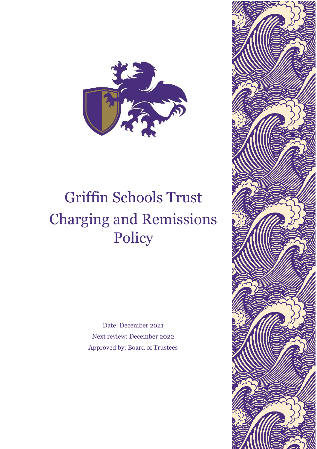

# Griffin Schools Trust Charging and Remissions Policy

Date: December 2021 Next review: December 2022 Approved by: Board of Trustees

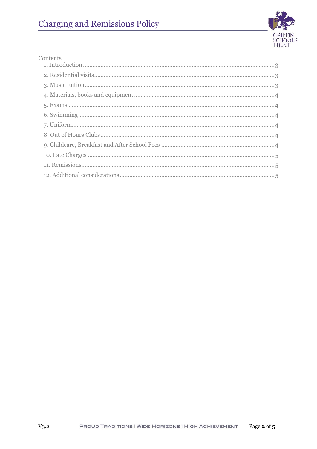

#### Contents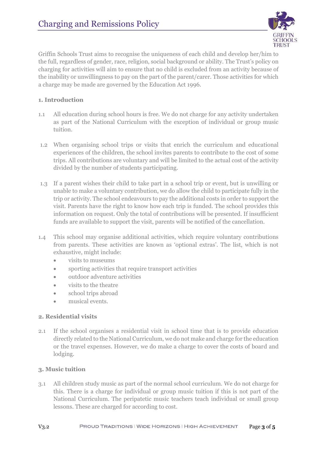

Griffin Schools Trust aims to recognise the uniqueness of each child and develop her/him to the full, regardless of gender, race, religion, social background or ability. The Trust's policy on charging for activities will aim to ensure that no child is excluded from an activity because of the inability or unwillingness to pay on the part of the parent/carer. Those activities for which a charge may be made are governed by the Education Act 1996.

# <span id="page-2-0"></span>**1. Introduction**

- 1.1 All education during school hours is free. We do not charge for any activity undertaken as part of the National Curriculum with the exception of individual or group music tuition.
- 1.2 When organising school trips or visits that enrich the curriculum and educational experiences of the children, the school invites parents to contribute to the cost of some trips. All contributions are voluntary and will be limited to the actual cost of the activity divided by the number of students participating.
- 1.3 If a parent wishes their child to take part in a school trip or event, but is unwilling or unable to make a voluntary contribution, we do allow the child to participate fully in the trip or activity. The school endeavours to pay the additional costs in order to support the visit. Parents have the right to know how each trip is funded. The school provides this information on request. Only the total of contributions will be presented. If insufficient funds are available to support the visit, parents will be notified of the cancellation.
- 1.4 This school may organise additional activities, which require voluntary contributions from parents. These activities are known as 'optional extras'. The list, which is not exhaustive, might include:
	- visits to museums
	- sporting activities that require transport activities
	- outdoor adventure activities
	- visits to the theatre
	- school trips abroad
	- musical events.

## <span id="page-2-1"></span>**2. Residential visits**

2.1 If the school organises a residential visit in school time that is to provide education directly related to the National Curriculum, we do not make and charge for the education or the travel expenses. However, we do make a charge to cover the costs of board and lodging.

## <span id="page-2-2"></span>**3. Music tuition**

3.1 All children study music as part of the normal school curriculum. We do not charge for this. There is a charge for individual or group music tuition if this is not part of the National Curriculum. The peripatetic music teachers teach individual or small group lessons. These are charged for according to cost.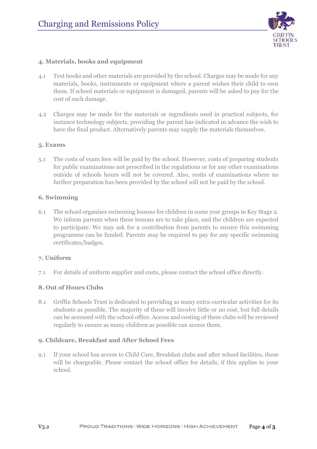

# <span id="page-3-0"></span>**4. Materials, books and equipment**

- 4.1 Text books and other materials are provided by the school. Charges may be made for any materials, books, instruments or equipment where a parent wishes their child to own them. If school materials or equipment is damaged, parents will be asked to pay for the cost of such damage.
- 4.2 Charges may be made for the materials or ingredients used in practical subjects, for instance technology subjects, providing the parent has indicated in advance the wish to have the final product. Alternatively parents may supply the materials themselves.

## <span id="page-3-1"></span>**5. Exams**

5.1 The costs of exam fees will be paid by the school. However, costs of preparing students for public examinations not prescribed in the regulations or for any other examinations outside of schools hours will not be covered. Also, resits of examinations where no further preparation has been provided by the school will not be paid by the school.

## <span id="page-3-2"></span>**6. Swimming**

6.1 The school organises swimming lessons for children in some year groups in Key Stage 2. We inform parents when these lessons are to take place, and the children are expected to participate. We may ask for a contribution from parents to ensure this swimming programme can be funded. Parents may be required to pay for any specific swimming certificates/badges.

## <span id="page-3-3"></span>**7. Uniform**

7.1 For details of uniform supplier and costs, please contact the school office directly.

## <span id="page-3-4"></span>**8. Out of Hours Clubs**

8.1 Griffin Schools Trust is dedicated to providing as many extra-curricular activities for its students as possible. The majority of these will involve little or no cost, but full details can be accessed with the school office. Access and costing of these clubs will be reviewed regularly to ensure as many children as possible can access them.

#### <span id="page-3-5"></span>**9. Childcare, Breakfast and After School Fees**

9.1 If your school has access to Child Care, Breakfast clubs and after school facilities, these will be chargeable. Please contact the school office for details, if this applies to your school.